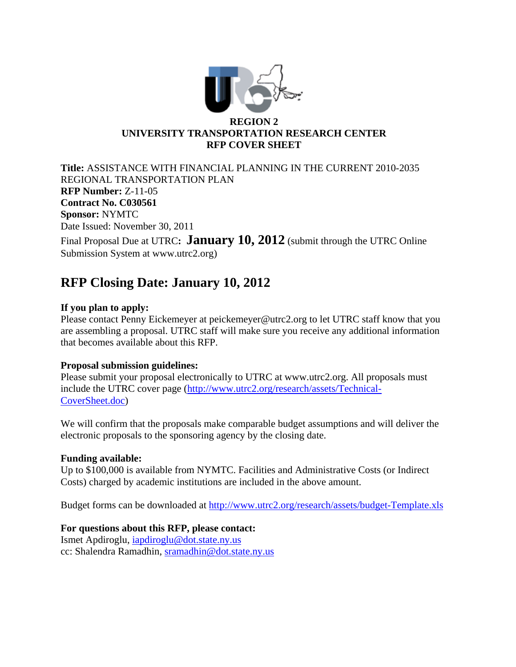

**Title:** ASSISTANCE WITH FINANCIAL PLANNING IN THE CURRENT 2010-2035 REGIONAL TRANSPORTATION PLAN **RFP Number:** Z-11-05 **Contract No. C030561 Sponsor:** NYMTC Date Issued: November 30, 2011

Final Proposal Due at UTRC**:** January 10, 2012 (submit through the UTRC Online Submission System at www.utrc2.org)

# **RFP Closing Date: January 10, 2012**

# **If you plan to apply:**

Please contact Penny Eickemeyer at peickemeyer@utrc2.org to let UTRC staff know that you are assembling a proposal. UTRC staff will make sure you receive any additional information that becomes available about this RFP.

# **Proposal submission guidelines:**

Please submit your proposal electronically to UTRC at www.utrc2.org. All proposals must include the UTRC cover page (http://www.utrc2.org/research/assets/Technical-CoverSheet.doc)

We will confirm that the proposals make comparable budget assumptions and will deliver the electronic proposals to the sponsoring agency by the closing date.

# **Funding available:**

Up to \$100,000 is available from NYMTC. Facilities and Administrative Costs (or Indirect Costs) charged by academic institutions are included in the above amount.

Budget forms can be downloaded at http://www.utrc2.org/research/assets/budget-Template.xls

### **For questions about this RFP, please contact:**

Ismet Apdiroglu, iapdiroglu@dot.state.ny.us cc: Shalendra Ramadhin, sramadhin@dot.state.ny.us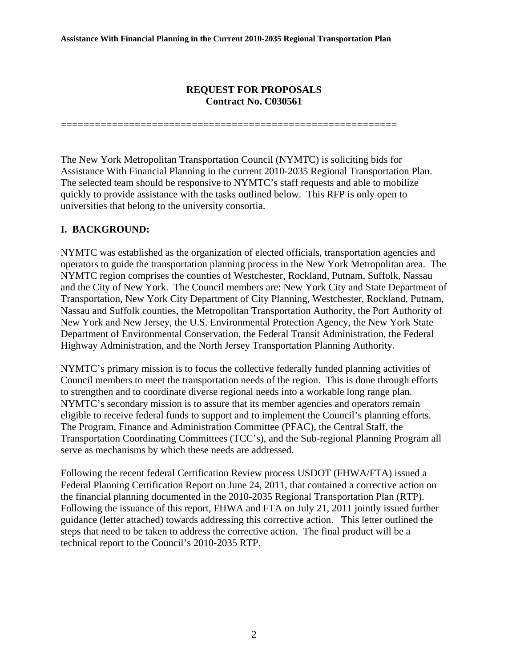### **REQUEST FOR PROPOSALS Contract No. C030561**

===========================================================

The New York Metropolitan Transportation Council (NYMTC) is soliciting bids for Assistance With Financial Planning in the current 2010-2035 Regional Transportation Plan. The selected team should be responsive to NYMTC's staff requests and able to mobilize quickly to provide assistance with the tasks outlined below. This RFP is only open to universities that belong to the university consortia.

# **I. BACKGROUND:**

NYMTC was established as the organization of elected officials, transportation agencies and operators to guide the transportation planning process in the New York Metropolitan area. The NYMTC region comprises the counties of Westchester, Rockland, Putnam, Suffolk, Nassau and the City of New York. The Council members are: New York City and State Department of Transportation, New York City Department of City Planning, Westchester, Rockland, Putnam, Nassau and Suffolk counties, the Metropolitan Transportation Authority, the Port Authority of New York and New Jersey, the U.S. Environmental Protection Agency, the New York State Department of Environmental Conservation, the Federal Transit Administration, the Federal Highway Administration, and the North Jersey Transportation Planning Authority.

NYMTC's primary mission is to focus the collective federally funded planning activities of Council members to meet the transportation needs of the region. This is done through efforts to strengthen and to coordinate diverse regional needs into a workable long range plan. NYMTC's secondary mission is to assure that its member agencies and operators remain eligible to receive federal funds to support and to implement the Council's planning efforts. The Program, Finance and Administration Committee (PFAC), the Central Staff, the Transportation Coordinating Committees (TCC's), and the Sub-regional Planning Program all serve as mechanisms by which these needs are addressed.

Following the recent federal Certification Review process USDOT (FHWA/FTA) issued a Federal Planning Certification Report on June 24, 2011, that contained a corrective action on the financial planning documented in the 2010-2035 Regional Transportation Plan (RTP). Following the issuance of this report, FHWA and FTA on July 21, 2011 jointly issued further guidance (letter attached) towards addressing this corrective action. This letter outlined the steps that need to be taken to address the corrective action. The final product will be a technical report to the Council's 2010-2035 RTP.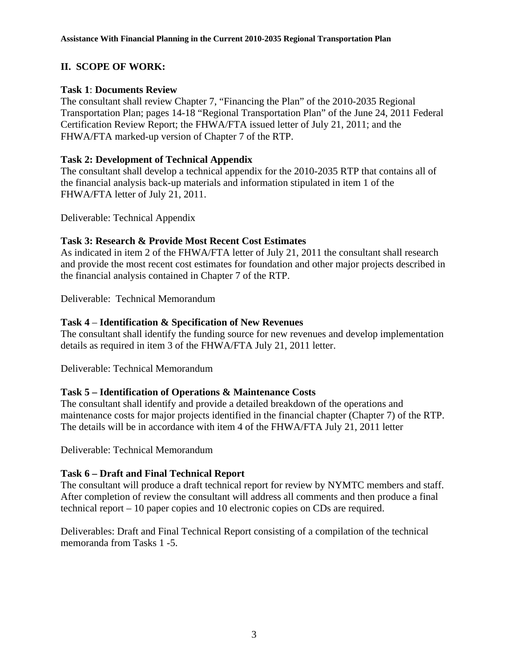# **II. SCOPE OF WORK:**

# **Task 1**: **Documents Review**

The consultant shall review Chapter 7, "Financing the Plan" of the 2010-2035 Regional Transportation Plan; pages 14-18 "Regional Transportation Plan" of the June 24, 2011 Federal Certification Review Report; the FHWA/FTA issued letter of July 21, 2011; and the FHWA/FTA marked-up version of Chapter 7 of the RTP.

### **Task 2: Development of Technical Appendix**

The consultant shall develop a technical appendix for the 2010-2035 RTP that contains all of the financial analysis back-up materials and information stipulated in item 1 of the FHWA/FTA letter of July 21, 2011.

Deliverable: Technical Appendix

# **Task 3: Research & Provide Most Recent Cost Estimates**

As indicated in item 2 of the FHWA/FTA letter of July 21, 2011 the consultant shall research and provide the most recent cost estimates for foundation and other major projects described in the financial analysis contained in Chapter 7 of the RTP.

Deliverable: Technical Memorandum

# **Task 4** – **Identification & Specification of New Revenues**

The consultant shall identify the funding source for new revenues and develop implementation details as required in item 3 of the FHWA/FTA July 21, 2011 letter.

Deliverable: Technical Memorandum

# **Task 5 – Identification of Operations & Maintenance Costs**

The consultant shall identify and provide a detailed breakdown of the operations and maintenance costs for major projects identified in the financial chapter (Chapter 7) of the RTP. The details will be in accordance with item 4 of the FHWA/FTA July 21, 2011 letter

Deliverable: Technical Memorandum

#### **Task 6 – Draft and Final Technical Report**

The consultant will produce a draft technical report for review by NYMTC members and staff. After completion of review the consultant will address all comments and then produce a final technical report – 10 paper copies and 10 electronic copies on CDs are required.

Deliverables: Draft and Final Technical Report consisting of a compilation of the technical memoranda from Tasks 1 -5.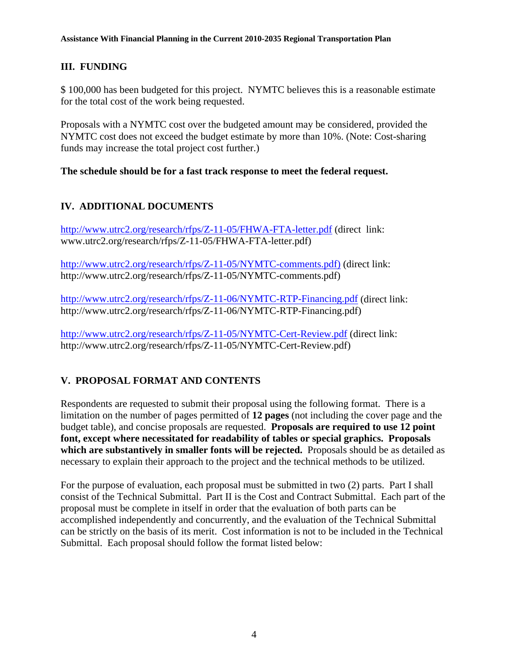# **III. FUNDING**

\$ 100,000 has been budgeted for this project. NYMTC believes this is a reasonable estimate for the total cost of the work being requested.

Proposals with a NYMTC cost over the budgeted amount may be considered, provided the NYMTC cost does not exceed the budget estimate by more than 10%. (Note: Cost-sharing funds may increase the total project cost further.)

# **The schedule should be for a fast track response to meet the federal request.**

# **IV. ADDITIONAL DOCUMENTS**

http://www.utrc2.org/research/rfps/Z-11-05/FHWA-FTA-letter.pdf (direct link: www.utrc2.org/research/rfps/Z-11-05/FHWA-FTA-letter.pdf)

http://www.utrc2.org/research/rfps/Z-11-05/NYMTC-comments.pdf) (direct link: http://www.utrc2.org/research/rfps/Z-11-05/NYMTC-comments.pdf)

http://www.utrc2.org/research/rfps/Z-11-06/NYMTC-RTP-Financing.pdf (direct link: http://www.utrc2.org/research/rfps/Z-11-06/NYMTC-RTP-Financing.pdf)

http://www.utrc2.org/research/rfps/Z-11-05/NYMTC-Cert-Review.pdf (direct link: http://www.utrc2.org/research/rfps/Z-11-05/NYMTC-Cert-Review.pdf)

# **V. PROPOSAL FORMAT AND CONTENTS**

Respondents are requested to submit their proposal using the following format. There is a limitation on the number of pages permitted of **12 pages** (not including the cover page and the budget table), and concise proposals are requested. **Proposals are required to use 12 point font, except where necessitated for readability of tables or special graphics. Proposals which are substantively in smaller fonts will be rejected.** Proposals should be as detailed as necessary to explain their approach to the project and the technical methods to be utilized.

For the purpose of evaluation, each proposal must be submitted in two (2) parts. Part I shall consist of the Technical Submittal. Part II is the Cost and Contract Submittal. Each part of the proposal must be complete in itself in order that the evaluation of both parts can be accomplished independently and concurrently, and the evaluation of the Technical Submittal can be strictly on the basis of its merit. Cost information is not to be included in the Technical Submittal. Each proposal should follow the format listed below: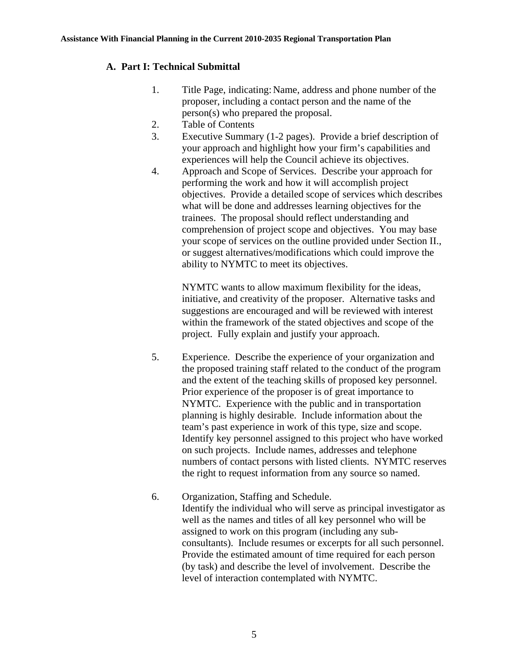# **A. Part I: Technical Submittal**

- 1. Title Page, indicating: Name, address and phone number of the proposer, including a contact person and the name of the person(s) who prepared the proposal.
- 2. Table of Contents
- 3. Executive Summary (1-2 pages). Provide a brief description of your approach and highlight how your firm's capabilities and experiences will help the Council achieve its objectives.
- 4. Approach and Scope of Services. Describe your approach for performing the work and how it will accomplish project objectives. Provide a detailed scope of services which describes what will be done and addresses learning objectives for the trainees. The proposal should reflect understanding and comprehension of project scope and objectives. You may base your scope of services on the outline provided under Section II., or suggest alternatives/modifications which could improve the ability to NYMTC to meet its objectives.

NYMTC wants to allow maximum flexibility for the ideas, initiative, and creativity of the proposer. Alternative tasks and suggestions are encouraged and will be reviewed with interest within the framework of the stated objectives and scope of the project. Fully explain and justify your approach.

- 5. Experience. Describe the experience of your organization and the proposed training staff related to the conduct of the program and the extent of the teaching skills of proposed key personnel. Prior experience of the proposer is of great importance to NYMTC. Experience with the public and in transportation planning is highly desirable. Include information about the team's past experience in work of this type, size and scope. Identify key personnel assigned to this project who have worked on such projects. Include names, addresses and telephone numbers of contact persons with listed clients. NYMTC reserves the right to request information from any source so named.
- 6. Organization, Staffing and Schedule. Identify the individual who will serve as principal investigator as well as the names and titles of all key personnel who will be assigned to work on this program (including any subconsultants). Include resumes or excerpts for all such personnel. Provide the estimated amount of time required for each person (by task) and describe the level of involvement. Describe the level of interaction contemplated with NYMTC.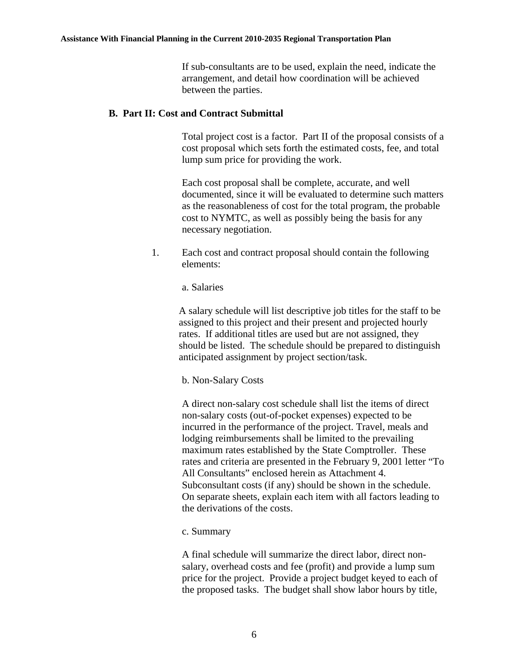#### **Assistance With Financial Planning in the Current 2010-2035 Regional Transportation Plan**

 If sub-consultants are to be used, explain the need, indicate the arrangement, and detail how coordination will be achieved between the parties.

#### **B. Part II: Cost and Contract Submittal**

 Total project cost is a factor. Part II of the proposal consists of a cost proposal which sets forth the estimated costs, fee, and total lump sum price for providing the work.

 Each cost proposal shall be complete, accurate, and well documented, since it will be evaluated to determine such matters as the reasonableness of cost for the total program, the probable cost to NYMTC, as well as possibly being the basis for any necessary negotiation.

- 1. Each cost and contract proposal should contain the following elements:
	- a. Salaries

A salary schedule will list descriptive job titles for the staff to be assigned to this project and their present and projected hourly rates. If additional titles are used but are not assigned, they should be listed. The schedule should be prepared to distinguish anticipated assignment by project section/task.

b. Non-Salary Costs

A direct non-salary cost schedule shall list the items of direct non-salary costs (out-of-pocket expenses) expected to be incurred in the performance of the project. Travel, meals and lodging reimbursements shall be limited to the prevailing maximum rates established by the State Comptroller. These rates and criteria are presented in the February 9, 2001 letter "To All Consultants" enclosed herein as Attachment 4. Subconsultant costs (if any) should be shown in the schedule. On separate sheets, explain each item with all factors leading to the derivations of the costs.

c. Summary

A final schedule will summarize the direct labor, direct nonsalary, overhead costs and fee (profit) and provide a lump sum price for the project. Provide a project budget keyed to each of the proposed tasks. The budget shall show labor hours by title,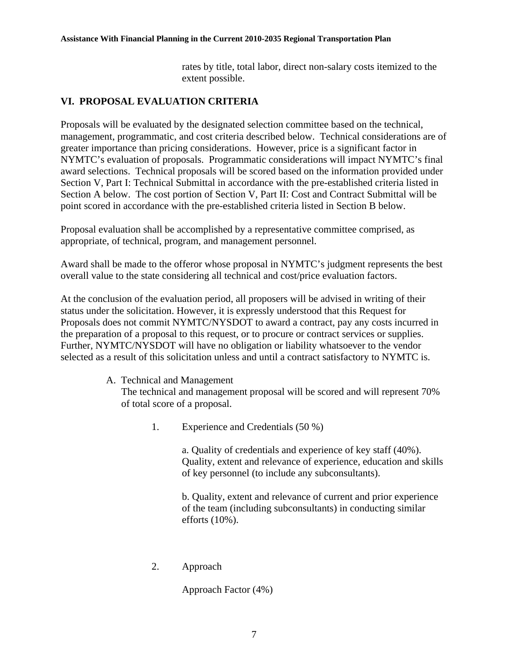#### **Assistance With Financial Planning in the Current 2010-2035 Regional Transportation Plan**

rates by title, total labor, direct non-salary costs itemized to the extent possible.

# **VI. PROPOSAL EVALUATION CRITERIA**

Proposals will be evaluated by the designated selection committee based on the technical, management, programmatic, and cost criteria described below. Technical considerations are of greater importance than pricing considerations. However, price is a significant factor in NYMTC's evaluation of proposals. Programmatic considerations will impact NYMTC's final award selections. Technical proposals will be scored based on the information provided under Section V, Part I: Technical Submittal in accordance with the pre-established criteria listed in Section A below. The cost portion of Section V, Part II: Cost and Contract Submittal will be point scored in accordance with the pre-established criteria listed in Section B below.

Proposal evaluation shall be accomplished by a representative committee comprised, as appropriate, of technical, program, and management personnel.

Award shall be made to the offeror whose proposal in NYMTC's judgment represents the best overall value to the state considering all technical and cost/price evaluation factors.

At the conclusion of the evaluation period, all proposers will be advised in writing of their status under the solicitation. However, it is expressly understood that this Request for Proposals does not commit NYMTC/NYSDOT to award a contract, pay any costs incurred in the preparation of a proposal to this request, or to procure or contract services or supplies. Further, NYMTC/NYSDOT will have no obligation or liability whatsoever to the vendor selected as a result of this solicitation unless and until a contract satisfactory to NYMTC is.

#### A. Technical and Management

The technical and management proposal will be scored and will represent 70% of total score of a proposal.

1. Experience and Credentials (50 %)

a. Quality of credentials and experience of key staff (40%). Quality, extent and relevance of experience, education and skills of key personnel (to include any subconsultants).

b. Quality, extent and relevance of current and prior experience of the team (including subconsultants) in conducting similar efforts (10%).

2. Approach

Approach Factor (4%)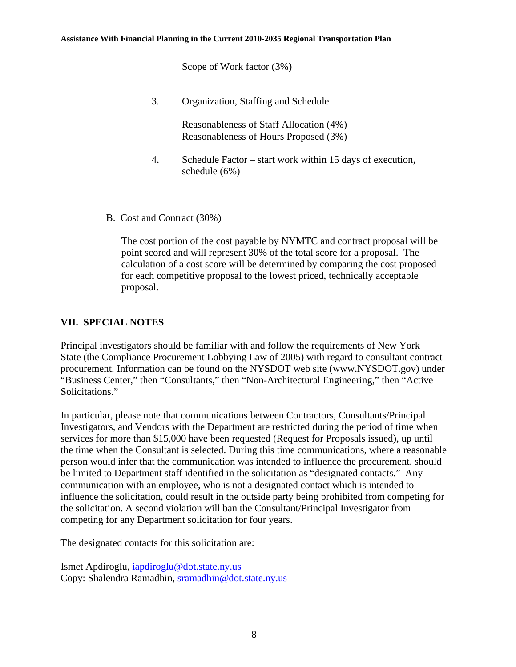Scope of Work factor (3%)

3. Organization, Staffing and Schedule

Reasonableness of Staff Allocation (4%) Reasonableness of Hours Proposed (3%)

- 4. Schedule Factor start work within 15 days of execution, schedule (6%)
- B. Cost and Contract (30%)

The cost portion of the cost payable by NYMTC and contract proposal will be point scored and will represent 30% of the total score for a proposal. The calculation of a cost score will be determined by comparing the cost proposed for each competitive proposal to the lowest priced, technically acceptable proposal.

#### **VII. SPECIAL NOTES**

Principal investigators should be familiar with and follow the requirements of New York State (the Compliance Procurement Lobbying Law of 2005) with regard to consultant contract procurement. Information can be found on the NYSDOT web site (www.NYSDOT.gov) under "Business Center," then "Consultants," then "Non-Architectural Engineering," then "Active Solicitations."

In particular, please note that communications between Contractors, Consultants/Principal Investigators, and Vendors with the Department are restricted during the period of time when services for more than \$15,000 have been requested (Request for Proposals issued), up until the time when the Consultant is selected. During this time communications, where a reasonable person would infer that the communication was intended to influence the procurement, should be limited to Department staff identified in the solicitation as "designated contacts." Any communication with an employee, who is not a designated contact which is intended to influence the solicitation, could result in the outside party being prohibited from competing for the solicitation. A second violation will ban the Consultant/Principal Investigator from competing for any Department solicitation for four years.

The designated contacts for this solicitation are:

Ismet Apdiroglu, iapdiroglu@dot.state.ny.us Copy: Shalendra Ramadhin, sramadhin@dot.state.ny.us